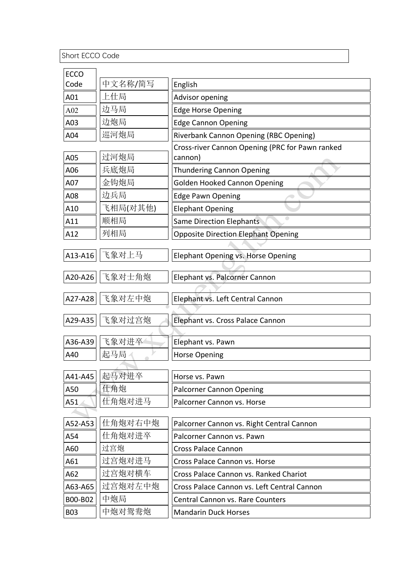Short ECCO Code

| <b>ECCO</b> |                 |                                                 |
|-------------|-----------------|-------------------------------------------------|
| Code        | 中文名称/简写         | English                                         |
| A01         | 上仕局             | Advisor opening                                 |
| A02         | 边马局             | <b>Edge Horse Opening</b>                       |
| A03         | 边炮局             | <b>Edge Cannon Opening</b>                      |
| A04         | 巡河炮局            | Riverbank Cannon Opening (RBC Opening)          |
|             |                 | Cross-river Cannon Opening (PRC for Pawn ranked |
| A05         | 过河炮局            | cannon)                                         |
| A06         | 兵底炮局            | <b>Thundering Cannon Opening</b>                |
| A07         | 金钩炮局            | <b>Golden Hooked Cannon Opening</b>             |
| A08         | 边兵局             | <b>Edge Pawn Opening</b>                        |
| A10         | 飞相局(对其他)        | <b>Elephant Opening</b>                         |
| A11         | 顺相局             | <b>Same Direction Elephants</b>                 |
| A12         | 列相局             | <b>Opposite Direction Elephant Opening</b>      |
|             |                 |                                                 |
| A13-A16     | 飞象对上马           | Elephant Opening vs. Horse Opening              |
| A20-A26     | 飞象对士角炮          | Elephant vs. Palcorner Cannon                   |
|             |                 |                                                 |
| A27-A28     | 飞象对左中炮          | Elephant vs. Left Central Cannon                |
|             |                 |                                                 |
| A29-A35     | 飞象对过宫炮          | Elephant vs. Cross Palace Cannon                |
|             |                 |                                                 |
| A36-A39     | 飞象对进卒           | Elephant vs. Pawn                               |
| A40         | 起马局             | <b>Horse Opening</b>                            |
|             | A41-A45   起马对进卒 | Horse vs. Pawn                                  |
| A50         | 仕角炮             | <b>Palcorner Cannon Opening</b>                 |
| A51         | 任角炮对进马          | Palcorner Cannon vs. Horse                      |
|             |                 |                                                 |
| A52-A53     | 仕角炮对右中炮         | Palcorner Cannon vs. Right Central Cannon       |
| A54         | 仕角炮对进卒          | Palcorner Cannon vs. Pawn                       |
| A60         | 过宫炮             | <b>Cross Palace Cannon</b>                      |
| A61         | 过宫炮对进马          | Cross Palace Cannon vs. Horse                   |
| A62         | 过宫炮对横车          | Cross Palace Cannon vs. Ranked Chariot          |
| A63-A65     | 过宫炮对左中炮         | Cross Palace Cannon vs. Left Central Cannon     |
| B00-B02     | 中炮局             | Central Cannon vs. Rare Counters                |
| <b>B03</b>  | 中炮对鸳鸯炮          | <b>Mandarin Duck Horses</b>                     |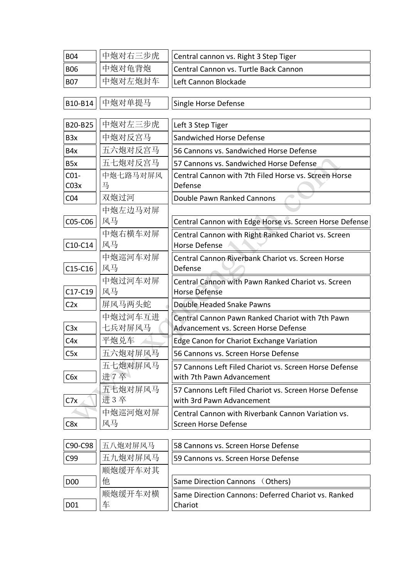| <b>B04</b>       | 中炮对右三步虎        | Central cannon vs. Right 3 Step Tiger                                                    |
|------------------|----------------|------------------------------------------------------------------------------------------|
| <b>B06</b>       | 中炮对龟背炮         | Central Cannon vs. Turtle Back Cannon                                                    |
| <b>B07</b>       | 中炮对左炮封车        | Left Cannon Blockade                                                                     |
|                  |                |                                                                                          |
| B10-B14          | 中炮对单提马         | Single Horse Defense                                                                     |
|                  |                |                                                                                          |
| B20-B25          | 中炮对左三步虎        | Left 3 Step Tiger                                                                        |
| B <sub>3x</sub>  | 中炮对反宫马         | Sandwiched Horse Defense                                                                 |
| B4x              | 五六炮对反宫马        | 56 Cannons vs. Sandwiched Horse Defense                                                  |
| B <sub>5x</sub>  | 五七炮对反宫马        | 57 Cannons vs. Sandwiched Horse Defense                                                  |
| $CO1-$           | 中炮七路马对屏风       | Central Cannon with 7th Filed Horse vs. Screen Horse                                     |
| CO <sub>3x</sub> | 马              | Defense                                                                                  |
| CO <sub>4</sub>  | 双炮过河           | Double Pawn Ranked Cannons                                                               |
|                  | 中炮左边马对屏        |                                                                                          |
| C05-C06          | 风马             | Central Cannon with Edge Horse vs. Screen Horse Defense                                  |
|                  | 中炮右横车对屏        | Central Cannon with Right Ranked Chariot vs. Screen                                      |
| C10-C14          | 风马             | Horse Defense                                                                            |
| C15-C16          | 中炮巡河车对屏<br>风马  | Central Cannon Riverbank Chariot vs. Screen Horse                                        |
|                  |                | Defense                                                                                  |
| C17-C19          | 中炮过河车对屏<br>风马  | Central Cannon with Pawn Ranked Chariot vs. Screen<br><b>Horse Defense</b>               |
|                  | 屏风马两头蛇         | Double Headed Snake Pawns                                                                |
| C2x              | 中炮过河车互进        |                                                                                          |
| C3x              | 七兵对屏风马         | Central Cannon Pawn Ranked Chariot with 7th Pawn<br>Advancement vs. Screen Horse Defense |
|                  | 平炮兑车           |                                                                                          |
| C4x              |                | Edge Canon for Chariot Exchange Variation                                                |
| C5x              | 五六炮对屏风马        | 56 Cannons vs. Screen Horse Defense                                                      |
|                  | 五七炮对屏风马<br>进7卒 | 57 Cannons Left Filed Chariot vs. Screen Horse Defense<br>with 7th Pawn Advancement      |
| C6x              |                |                                                                                          |
| C7x              | 五七炮对屏风马<br>进3卒 | 57 Cannons Left Filed Chariot vs. Screen Horse Defense<br>with 3rd Pawn Advancement      |
|                  | 中炮巡河炮对屏        |                                                                                          |
| C <sub>8</sub> x | 风马             | Central Cannon with Riverbank Cannon Variation vs.<br>Screen Horse Defense               |
|                  |                |                                                                                          |
| C90-C98          | 五八炮对屏风马        | 58 Cannons vs. Screen Horse Defense                                                      |
| C99              | 五九炮对屏风马        | 59 Cannons vs. Screen Horse Defense                                                      |
|                  | 顺炮缓开车对其        |                                                                                          |
| <b>D00</b>       | 他              | Same Direction Cannons (Others)                                                          |
|                  | 顺炮缓开车对横        | Same Direction Cannons: Deferred Chariot vs. Ranked                                      |
| D01              | 车              | Chariot                                                                                  |